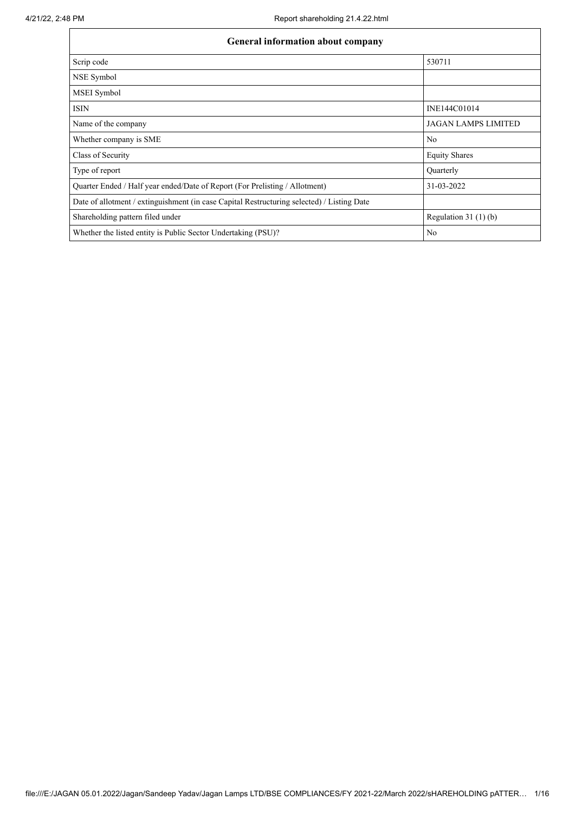$\mathbf{r}$ 

| <b>General information about company</b>                                                   |                            |  |  |  |  |  |
|--------------------------------------------------------------------------------------------|----------------------------|--|--|--|--|--|
| Scrip code                                                                                 | 530711                     |  |  |  |  |  |
| NSE Symbol                                                                                 |                            |  |  |  |  |  |
| MSEI Symbol                                                                                |                            |  |  |  |  |  |
| <b>ISIN</b>                                                                                | INE144C01014               |  |  |  |  |  |
| Name of the company                                                                        | <b>JAGAN LAMPS LIMITED</b> |  |  |  |  |  |
| Whether company is SME                                                                     | No                         |  |  |  |  |  |
| Class of Security                                                                          | <b>Equity Shares</b>       |  |  |  |  |  |
| Type of report                                                                             | Quarterly                  |  |  |  |  |  |
| Quarter Ended / Half year ended/Date of Report (For Prelisting / Allotment)                | 31-03-2022                 |  |  |  |  |  |
| Date of allotment / extinguishment (in case Capital Restructuring selected) / Listing Date |                            |  |  |  |  |  |
| Shareholding pattern filed under                                                           | Regulation $31(1)(b)$      |  |  |  |  |  |
| Whether the listed entity is Public Sector Undertaking (PSU)?                              | No                         |  |  |  |  |  |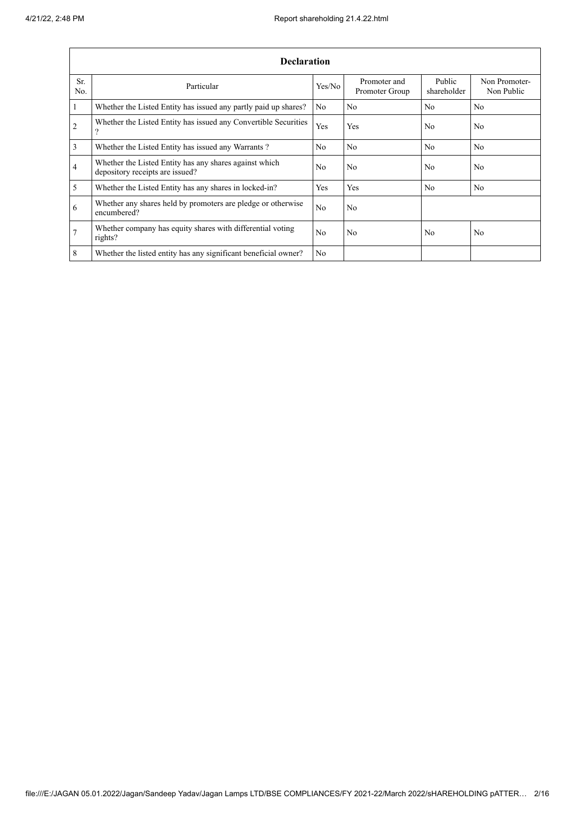|                | <b>Declaration</b>                                                                        |                |                                |                       |                             |  |  |  |
|----------------|-------------------------------------------------------------------------------------------|----------------|--------------------------------|-----------------------|-----------------------------|--|--|--|
| Sr.<br>No.     | Particular                                                                                | Yes/No         | Promoter and<br>Promoter Group | Public<br>shareholder | Non Promoter-<br>Non Public |  |  |  |
| 1              | Whether the Listed Entity has issued any partly paid up shares?                           | N <sub>0</sub> | N <sub>o</sub>                 | N <sub>0</sub>        | N <sub>0</sub>              |  |  |  |
| $\overline{2}$ | Whether the Listed Entity has issued any Convertible Securities<br>$\Omega$               | Yes            | Yes                            | N <sub>0</sub>        | N <sub>0</sub>              |  |  |  |
| 3              | Whether the Listed Entity has issued any Warrants?                                        | N <sub>0</sub> | No                             | N <sub>o</sub>        | No.                         |  |  |  |
| 4              | Whether the Listed Entity has any shares against which<br>depository receipts are issued? | N <sub>0</sub> | No                             | N <sub>0</sub>        | N <sub>0</sub>              |  |  |  |
| 5              | Whether the Listed Entity has any shares in locked-in?                                    | Yes            | Yes                            | N <sub>0</sub>        | N <sub>0</sub>              |  |  |  |
| 6              | Whether any shares held by promoters are pledge or otherwise<br>encumbered?               | N <sub>o</sub> | No                             |                       |                             |  |  |  |
| $\overline{7}$ | Whether company has equity shares with differential voting<br>rights?                     | N <sub>0</sub> | N <sub>0</sub>                 | N <sub>0</sub>        | No.                         |  |  |  |
| 8              | Whether the listed entity has any significant beneficial owner?                           | N <sub>0</sub> |                                |                       |                             |  |  |  |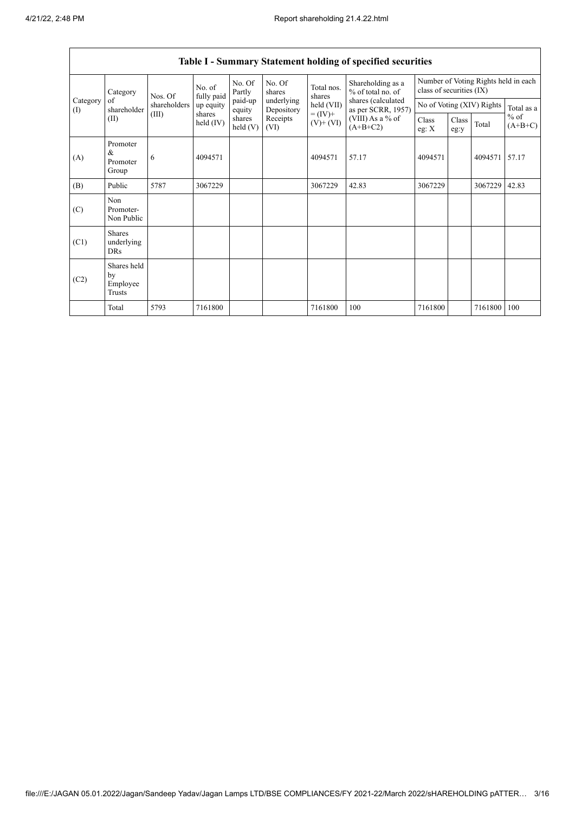|                   |                                           |                                                                                                                      |                              |                                                    |                                                                  |               | Table 1 - Summary Statement holding of specified securities |                     |  |                                         |       |
|-------------------|-------------------------------------------|----------------------------------------------------------------------------------------------------------------------|------------------------------|----------------------------------------------------|------------------------------------------------------------------|---------------|-------------------------------------------------------------|---------------------|--|-----------------------------------------|-------|
|                   | Category                                  | No. Of<br>No. Of<br>Total nos.<br>No. of<br>% of total no. of<br>Partly<br>shares<br>fully paid<br>Nos. Of<br>shares |                              | Shareholding as a                                  | Number of Voting Rights held in each<br>class of securities (IX) |               |                                                             |                     |  |                                         |       |
| Category<br>$($ I | of<br>shareholder                         | shareholders                                                                                                         | up equity                    | paid-up<br>equity                                  | underlying<br>Depository                                         | held (VII)    | shares (calculated<br>as per SCRR, 1957)                    |                     |  | No of Voting (XIV) Rights<br>Total as a |       |
|                   | (II)                                      | (III)<br>shares<br>shares<br>Receipts<br>held $(IV)$<br>held(V)<br>(VI)                                              | $= (IV) +$<br>$(V)$ + $(VI)$ | (VIII) As a % of<br>Class<br>$(A+B+C2)$<br>eg: $X$ |                                                                  | Class<br>eg:y | Total                                                       | $%$ of<br>$(A+B+C)$ |  |                                         |       |
| (A)               | Promoter<br>&<br>Promoter<br>Group        | 6                                                                                                                    | 4094571                      |                                                    |                                                                  | 4094571       | 57.17                                                       | 4094571             |  | 4094571                                 | 57.17 |
| (B)               | Public                                    | 5787                                                                                                                 | 3067229                      |                                                    |                                                                  | 3067229       | 42.83                                                       | 3067229             |  | 3067229                                 | 42.83 |
| (C)               | Non<br>Promoter-<br>Non Public            |                                                                                                                      |                              |                                                    |                                                                  |               |                                                             |                     |  |                                         |       |
| (C1)              | <b>Shares</b><br>underlying<br><b>DRs</b> |                                                                                                                      |                              |                                                    |                                                                  |               |                                                             |                     |  |                                         |       |
| (C2)              | Shares held<br>by<br>Employee<br>Trusts   |                                                                                                                      |                              |                                                    |                                                                  |               |                                                             |                     |  |                                         |       |
|                   | Total                                     | 5793                                                                                                                 | 7161800                      |                                                    |                                                                  | 7161800       | 100                                                         | 7161800             |  | 7161800                                 | 100   |

## **Table I - Summary Statement holding of specified securities**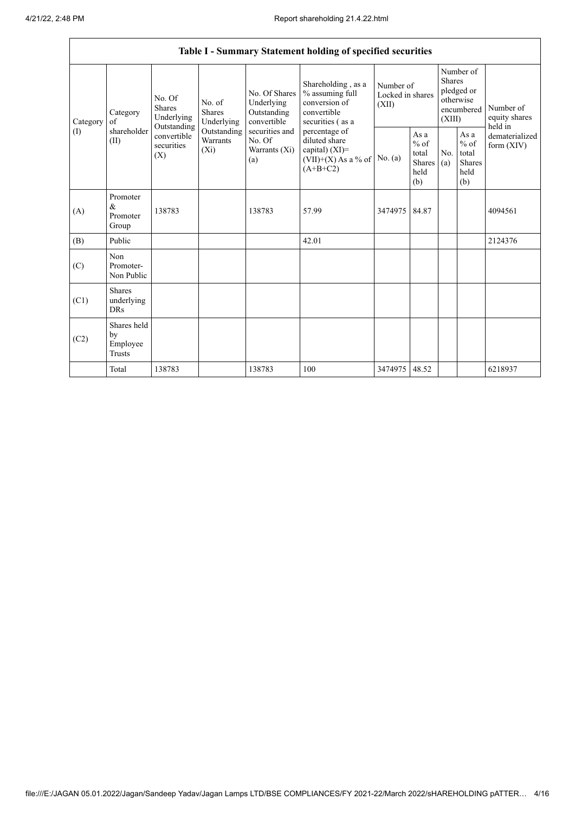í

|                            |                                                |                                                 |                                                           |                                                                                                                                                       | Table I - Summary Statement holding of specified securities |                                                                               |            |                                                         |                                           |         |
|----------------------------|------------------------------------------------|-------------------------------------------------|-----------------------------------------------------------|-------------------------------------------------------------------------------------------------------------------------------------------------------|-------------------------------------------------------------|-------------------------------------------------------------------------------|------------|---------------------------------------------------------|-------------------------------------------|---------|
| Category<br>Category<br>of | No. Of<br><b>Shares</b><br>Underlying          | No. of<br><b>Shares</b><br>Underlying           | No. Of Shares<br>Underlying<br>Outstanding<br>convertible | Shareholding, as a<br>% assuming full<br>conversion of<br>convertible<br>securities (as a                                                             | Number of<br>Locked in shares<br>(XII)                      | Number of<br><b>Shares</b><br>pledged or<br>otherwise<br>encumbered<br>(XIII) |            | Number of<br>equity shares                              |                                           |         |
| (1)                        | shareholder<br>(II)                            | Outstanding<br>convertible<br>securities<br>(X) | Outstanding<br>Warrants<br>$(X_i)$                        | securities and<br>percentage of<br>diluted share<br>No. Of<br>capital) (XI)=<br>Warrants (Xi)<br>$(VII)+(X)$ As a % of   No. (a)<br>(a)<br>$(A+B+C2)$ |                                                             | As a<br>$%$ of<br>total<br><b>Shares</b><br>held<br>(b)                       | No.<br>(a) | As a<br>$%$ of<br>total<br><b>Shares</b><br>held<br>(b) | held in<br>dematerialized<br>form $(XIV)$ |         |
| (A)                        | Promoter<br>$\&$<br>Promoter<br>Group          | 138783                                          |                                                           | 138783                                                                                                                                                | 57.99                                                       | 3474975                                                                       | 84.87      |                                                         |                                           | 4094561 |
| (B)                        | Public                                         |                                                 |                                                           |                                                                                                                                                       | 42.01                                                       |                                                                               |            |                                                         |                                           | 2124376 |
| (C)                        | Non<br>Promoter-<br>Non Public                 |                                                 |                                                           |                                                                                                                                                       |                                                             |                                                                               |            |                                                         |                                           |         |
| (C1)                       | <b>Shares</b><br>underlying<br><b>DRs</b>      |                                                 |                                                           |                                                                                                                                                       |                                                             |                                                                               |            |                                                         |                                           |         |
| (C2)                       | Shares held<br>by<br>Employee<br><b>Trusts</b> |                                                 |                                                           |                                                                                                                                                       |                                                             |                                                                               |            |                                                         |                                           |         |
|                            | Total                                          | 138783                                          |                                                           | 138783                                                                                                                                                | 100                                                         | 3474975                                                                       | 48.52      |                                                         |                                           | 6218937 |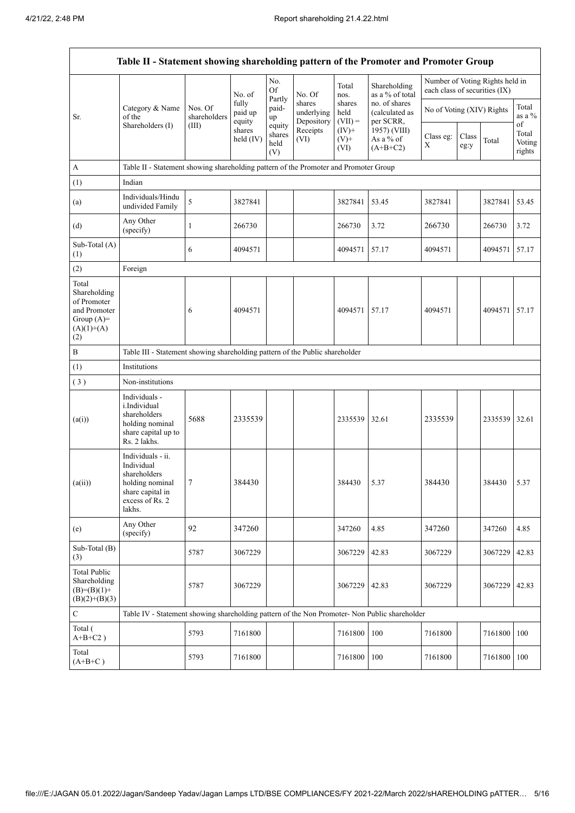r

| Table II - Statement showing shareholding pattern of the Promoter and Promoter Group        |                                                                                                                     |                         |                            |                                 |                                    |                             |                                              |                               |               |                                 |                                 |
|---------------------------------------------------------------------------------------------|---------------------------------------------------------------------------------------------------------------------|-------------------------|----------------------------|---------------------------------|------------------------------------|-----------------------------|----------------------------------------------|-------------------------------|---------------|---------------------------------|---------------------------------|
|                                                                                             |                                                                                                                     |                         | No. of                     | No.<br>Of                       | No. Of                             | Total<br>nos.               | Shareholding<br>as a % of total              | each class of securities (IX) |               | Number of Voting Rights held in |                                 |
| Sr.                                                                                         | Category & Name<br>of the                                                                                           | Nos. Of<br>shareholders | fully<br>paid up<br>equity | Partly<br>paid-<br>up           | shares<br>underlying<br>Depository | shares<br>held<br>$(VII) =$ | no. of shares<br>(calculated as<br>per SCRR, | No of Voting (XIV) Rights     |               |                                 | Total<br>as a $\%$              |
|                                                                                             | Shareholders (I)                                                                                                    | (III)                   | shares<br>$held$ (IV)      | equity<br>shares<br>held<br>(V) | Receipts<br>(VI)                   | $(IV)+$<br>$(V)^+$<br>(VI)  | 1957) (VIII)<br>As a % of<br>$(A+B+C2)$      | Class eg:<br>X                | Class<br>eg:y | Total                           | of<br>Total<br>Voting<br>rights |
| А                                                                                           | Table II - Statement showing shareholding pattern of the Promoter and Promoter Group                                |                         |                            |                                 |                                    |                             |                                              |                               |               |                                 |                                 |
| (1)                                                                                         | Indian                                                                                                              |                         |                            |                                 |                                    |                             |                                              |                               |               |                                 |                                 |
| (a)                                                                                         | Individuals/Hindu<br>undivided Family                                                                               | 5                       | 3827841                    |                                 |                                    | 3827841                     | 53.45                                        | 3827841                       |               | 3827841 53.45                   |                                 |
| (d)                                                                                         | Any Other<br>(specify)                                                                                              | 1                       | 266730                     |                                 |                                    | 266730                      | 3.72                                         | 266730                        |               | 266730                          | 3.72                            |
| Sub-Total (A)<br>(1)                                                                        |                                                                                                                     | 6                       | 4094571                    |                                 |                                    | 4094571                     | 57.17                                        | 4094571                       |               | 4094571                         | 57.17                           |
| (2)                                                                                         | Foreign                                                                                                             |                         |                            |                                 |                                    |                             |                                              |                               |               |                                 |                                 |
| Total<br>Shareholding<br>of Promoter<br>and Promoter<br>Group $(A)=$<br>$(A)(1)+(A)$<br>(2) |                                                                                                                     | 6                       | 4094571                    |                                 |                                    | 4094571                     | 57.17                                        | 4094571                       |               | 4094571                         | 57.17                           |
| B                                                                                           | Table III - Statement showing shareholding pattern of the Public shareholder                                        |                         |                            |                                 |                                    |                             |                                              |                               |               |                                 |                                 |
| (1)                                                                                         | Institutions                                                                                                        |                         |                            |                                 |                                    |                             |                                              |                               |               |                                 |                                 |
| (3)                                                                                         | Non-institutions                                                                                                    |                         |                            |                                 |                                    |                             |                                              |                               |               |                                 |                                 |
| (a(i))                                                                                      | Individuals -<br>i.Individual<br>shareholders<br>holding nominal<br>share capital up to<br>Rs. 2 lakhs.             | 5688                    | 2335539                    |                                 |                                    | 2335539                     | 32.61                                        | 2335539                       |               | 2335539 32.61                   |                                 |
| (a(ii))                                                                                     | Individuals - ii.<br>Individual<br>shareholders<br>holding nominal<br>share capital in<br>excess of Rs. 2<br>lakhs. | $\tau$                  | 384430                     |                                 |                                    | 384430                      | 5.37                                         | 384430                        |               | 384430                          | 5.37                            |
| (e)                                                                                         | Any Other<br>(specify)                                                                                              | 92                      | 347260                     |                                 |                                    | 347260                      | 4.85                                         | 347260                        |               | 347260                          | 4.85                            |
| Sub-Total (B)<br>(3)                                                                        |                                                                                                                     | 5787                    | 3067229                    |                                 |                                    | 3067229                     | 42.83                                        | 3067229                       |               | 3067229                         | 42.83                           |
| <b>Total Public</b><br>Shareholding<br>$(B)= (B)(1) +$<br>$(B)(2)+(B)(3)$                   |                                                                                                                     | 5787                    | 3067229                    |                                 |                                    | 3067229                     | 42.83                                        | 3067229                       |               | 3067229                         | 42.83                           |
| ${\bf C}$                                                                                   | Table IV - Statement showing shareholding pattern of the Non Promoter- Non Public shareholder                       |                         |                            |                                 |                                    |                             |                                              |                               |               |                                 |                                 |
| Total (<br>$A+B+C2$ )                                                                       |                                                                                                                     | 5793                    | 7161800                    |                                 |                                    | 7161800                     | 100                                          | 7161800                       |               | 7161800                         | 100                             |
| Total<br>$(A+B+C)$                                                                          |                                                                                                                     | 5793                    | 7161800                    |                                 |                                    | 7161800                     | 100                                          | 7161800                       |               | 7161800                         | 100                             |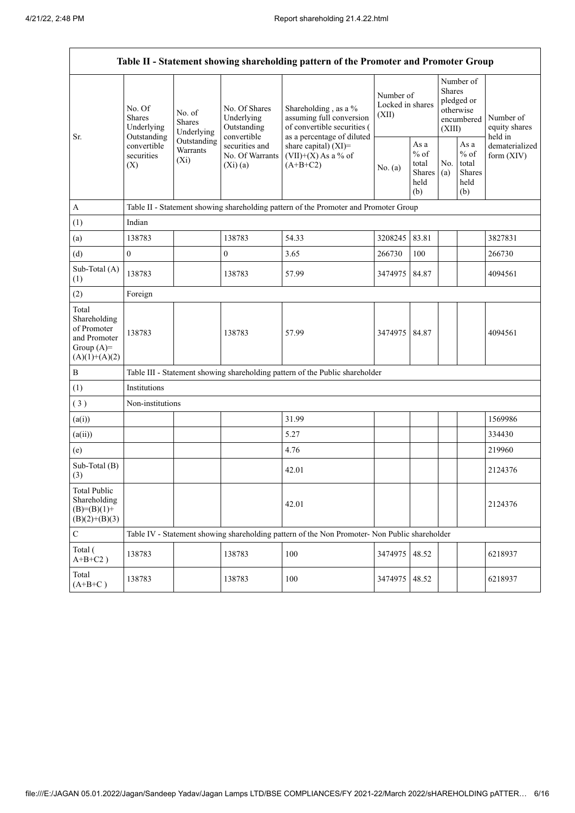| Table II - Statement showing shareholding pattern of the Promoter and Promoter Group    |                                                                                          |                                                                             |                                                                                                              |                                                                                                                                                                                 |                                        |                                                                               |            |                                                  |                                |
|-----------------------------------------------------------------------------------------|------------------------------------------------------------------------------------------|-----------------------------------------------------------------------------|--------------------------------------------------------------------------------------------------------------|---------------------------------------------------------------------------------------------------------------------------------------------------------------------------------|----------------------------------------|-------------------------------------------------------------------------------|------------|--------------------------------------------------|--------------------------------|
| Sr.                                                                                     | No. Of<br><b>Shares</b><br>Underlying<br>Outstanding<br>convertible<br>securities<br>(X) | No. of<br><b>Shares</b><br>Underlying<br>Outstanding<br>Warrants<br>$(X_i)$ | No. Of Shares<br>Underlying<br>Outstanding<br>convertible<br>securities and<br>No. Of Warrants<br>$(Xi)$ (a) | Shareholding, as a %<br>assuming full conversion<br>of convertible securities (<br>as a percentage of diluted<br>share capital) $(XI)$ =<br>$(VII)+(X)$ As a % of<br>$(A+B+C2)$ | Number of<br>Locked in shares<br>(XII) | Number of<br><b>Shares</b><br>pledged or<br>otherwise<br>encumbered<br>(XIII) |            | Number of<br>equity shares<br>held in            |                                |
|                                                                                         |                                                                                          |                                                                             |                                                                                                              |                                                                                                                                                                                 | No. (a)                                | As a<br>$%$ of<br>total<br>Shares<br>held<br>(b)                              | No.<br>(a) | As a<br>$%$ of<br>total<br>Shares<br>held<br>(b) | dematerialized<br>form $(XIV)$ |
| A                                                                                       |                                                                                          |                                                                             |                                                                                                              | Table II - Statement showing shareholding pattern of the Promoter and Promoter Group                                                                                            |                                        |                                                                               |            |                                                  |                                |
| (1)                                                                                     | Indian                                                                                   |                                                                             |                                                                                                              |                                                                                                                                                                                 |                                        |                                                                               |            |                                                  |                                |
| (a)                                                                                     | 138783                                                                                   |                                                                             | 138783                                                                                                       | 54.33                                                                                                                                                                           | 3208245                                | 83.81                                                                         |            |                                                  | 3827831                        |
| (d)                                                                                     | $\boldsymbol{0}$                                                                         |                                                                             | $\boldsymbol{0}$                                                                                             | 3.65                                                                                                                                                                            | 266730                                 | 100                                                                           |            |                                                  | 266730                         |
| Sub-Total (A)<br>(1)                                                                    | 138783                                                                                   |                                                                             | 138783                                                                                                       | 57.99                                                                                                                                                                           | 3474975                                | 84.87                                                                         |            |                                                  | 4094561                        |
| (2)                                                                                     | Foreign                                                                                  |                                                                             |                                                                                                              |                                                                                                                                                                                 |                                        |                                                                               |            |                                                  |                                |
| Total<br>Shareholding<br>of Promoter<br>and Promoter<br>Group $(A)=$<br>$(A)(1)+(A)(2)$ | 138783                                                                                   |                                                                             | 138783                                                                                                       | 57.99                                                                                                                                                                           | 3474975 84.87                          |                                                                               |            |                                                  | 4094561                        |
| $\, {\bf B}$                                                                            |                                                                                          |                                                                             |                                                                                                              | Table III - Statement showing shareholding pattern of the Public shareholder                                                                                                    |                                        |                                                                               |            |                                                  |                                |
| (1)                                                                                     | Institutions                                                                             |                                                                             |                                                                                                              |                                                                                                                                                                                 |                                        |                                                                               |            |                                                  |                                |
| (3)                                                                                     | Non-institutions                                                                         |                                                                             |                                                                                                              |                                                                                                                                                                                 |                                        |                                                                               |            |                                                  |                                |
| (a(i))                                                                                  |                                                                                          |                                                                             |                                                                                                              | 31.99                                                                                                                                                                           |                                        |                                                                               |            |                                                  | 1569986                        |
| (a(ii))                                                                                 |                                                                                          |                                                                             |                                                                                                              | 5.27                                                                                                                                                                            |                                        |                                                                               |            |                                                  | 334430                         |
| (e)                                                                                     |                                                                                          |                                                                             |                                                                                                              | 4.76                                                                                                                                                                            |                                        |                                                                               |            |                                                  | 219960                         |
| Sub-Total (B)<br>(3)                                                                    |                                                                                          |                                                                             |                                                                                                              | 42.01                                                                                                                                                                           |                                        |                                                                               |            |                                                  | 2124376                        |
| <b>Total Public</b><br>Shareholding<br>$(B)= (B)(1) +$<br>$(B)(2)+(B)(3)$               |                                                                                          |                                                                             |                                                                                                              | 42.01                                                                                                                                                                           |                                        |                                                                               |            |                                                  | 2124376                        |
| ${\bf C}$                                                                               |                                                                                          |                                                                             |                                                                                                              | Table IV - Statement showing shareholding pattern of the Non Promoter- Non Public shareholder                                                                                   |                                        |                                                                               |            |                                                  |                                |
| Total (<br>$A+B+C2$ )                                                                   | 138783                                                                                   |                                                                             | 138783                                                                                                       | 100                                                                                                                                                                             | 3474975                                | 48.52                                                                         |            |                                                  | 6218937                        |
| Total<br>$(A+B+C)$                                                                      | 138783                                                                                   |                                                                             | 138783                                                                                                       | 100                                                                                                                                                                             | 3474975                                | 48.52                                                                         |            |                                                  | 6218937                        |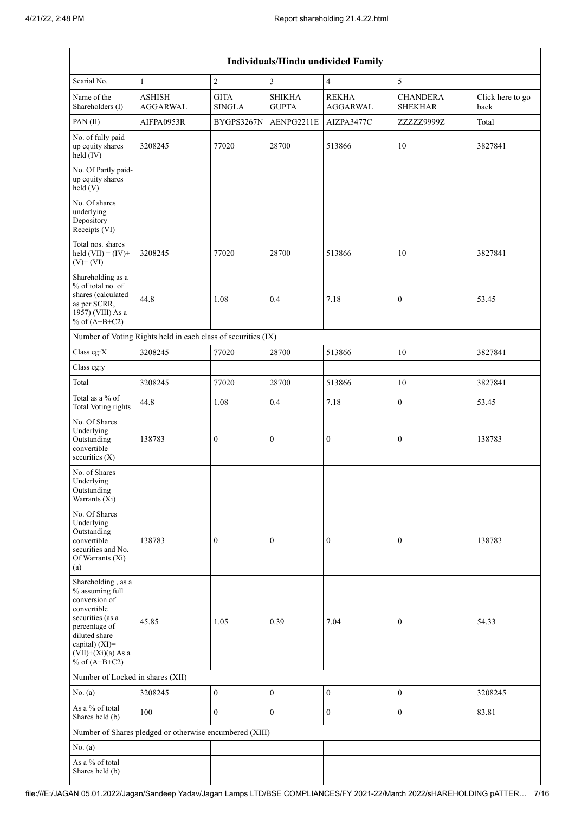| Individuals/Hindu undivided Family                                                                                                                                                       |                                                               |                              |                               |                                 |                                   |                          |  |  |
|------------------------------------------------------------------------------------------------------------------------------------------------------------------------------------------|---------------------------------------------------------------|------------------------------|-------------------------------|---------------------------------|-----------------------------------|--------------------------|--|--|
| Searial No.                                                                                                                                                                              | $\mathbf{1}$                                                  | $\overline{c}$               | 3                             | 4                               | 5                                 |                          |  |  |
| Name of the<br>Shareholders (I)                                                                                                                                                          | <b>ASHISH</b><br><b>AGGARWAL</b>                              | <b>GITA</b><br><b>SINGLA</b> | <b>SHIKHA</b><br><b>GUPTA</b> | <b>REKHA</b><br><b>AGGARWAL</b> | <b>CHANDERA</b><br><b>SHEKHAR</b> | Click here to go<br>back |  |  |
| PAN(II)                                                                                                                                                                                  | AIFPA0953R                                                    | BYGPS3267N                   | AENPG2211E                    | AIZPA3477C                      | ZZZZZ9999Z                        | Total                    |  |  |
| No. of fully paid<br>up equity shares<br>$held$ (IV)                                                                                                                                     | 3208245                                                       | 77020                        | 28700                         | 513866                          | 10                                | 3827841                  |  |  |
| No. Of Partly paid-<br>up equity shares<br>held(V)                                                                                                                                       |                                                               |                              |                               |                                 |                                   |                          |  |  |
| No. Of shares<br>underlying<br>Depository<br>Receipts (VI)                                                                                                                               |                                                               |                              |                               |                                 |                                   |                          |  |  |
| Total nos. shares<br>held $(VII) = (IV) +$<br>$(V)$ + $(VI)$                                                                                                                             | 3208245                                                       | 77020                        | 28700                         | 513866                          | 10                                | 3827841                  |  |  |
| Shareholding as a<br>% of total no. of<br>shares (calculated<br>as per SCRR,<br>1957) (VIII) As a<br>% of $(A+B+C2)$                                                                     | 44.8                                                          | 1.08                         | 0.4                           | 7.18                            | 0                                 | 53.45                    |  |  |
|                                                                                                                                                                                          | Number of Voting Rights held in each class of securities (IX) |                              |                               |                                 |                                   |                          |  |  |
| Class eg:X                                                                                                                                                                               | 3208245                                                       | 77020                        | 28700                         | 513866                          | 10                                | 3827841                  |  |  |
| Class eg:y                                                                                                                                                                               |                                                               |                              |                               |                                 |                                   |                          |  |  |
| Total                                                                                                                                                                                    | 3208245                                                       | 77020                        | 28700                         | 513866                          | 10                                | 3827841                  |  |  |
| Total as a % of<br>Total Voting rights                                                                                                                                                   | 44.8                                                          | 1.08                         | 0.4                           | 7.18                            | $\overline{0}$                    | 53.45                    |  |  |
| No. Of Shares<br>Underlying<br>Outstanding<br>convertible<br>securities $(X)$                                                                                                            | 138783                                                        | $\boldsymbol{0}$             | $\boldsymbol{0}$              | $\boldsymbol{0}$                | 0                                 | 138783                   |  |  |
| No. of Shares<br>Underlying<br>Outstanding<br>Warrants (Xi)                                                                                                                              |                                                               |                              |                               |                                 |                                   |                          |  |  |
| No. Of Shares<br>Underlying<br>Outstanding<br>convertible<br>securities and No.<br>Of Warrants (Xi)<br>(a)                                                                               | 138783                                                        | $\boldsymbol{0}$             | $\boldsymbol{0}$              | 0                               | $\boldsymbol{0}$                  | 138783                   |  |  |
| Shareholding, as a<br>% assuming full<br>conversion of<br>convertible<br>securities (as a<br>percentage of<br>diluted share<br>capital) (XI)=<br>$(VII)+(Xi)(a)$ As a<br>% of $(A+B+C2)$ | 45.85                                                         | 1.05                         | 0.39                          | 7.04                            | $\boldsymbol{0}$                  | 54.33                    |  |  |
| Number of Locked in shares (XII)                                                                                                                                                         |                                                               |                              |                               |                                 |                                   |                          |  |  |
| No. (a)                                                                                                                                                                                  | 3208245                                                       | $\boldsymbol{0}$             | $\boldsymbol{0}$              | $\boldsymbol{0}$                | $\boldsymbol{0}$                  | 3208245                  |  |  |
| As a % of total<br>Shares held (b)                                                                                                                                                       | 100                                                           | $\mathbf{0}$                 | $\boldsymbol{0}$              | $\boldsymbol{0}$                | $\boldsymbol{0}$                  | 83.81                    |  |  |
|                                                                                                                                                                                          | Number of Shares pledged or otherwise encumbered (XIII)       |                              |                               |                                 |                                   |                          |  |  |
| No. (a)                                                                                                                                                                                  |                                                               |                              |                               |                                 |                                   |                          |  |  |
| As a % of total<br>Shares held (b)                                                                                                                                                       |                                                               |                              |                               |                                 |                                   |                          |  |  |
|                                                                                                                                                                                          |                                                               |                              |                               |                                 |                                   |                          |  |  |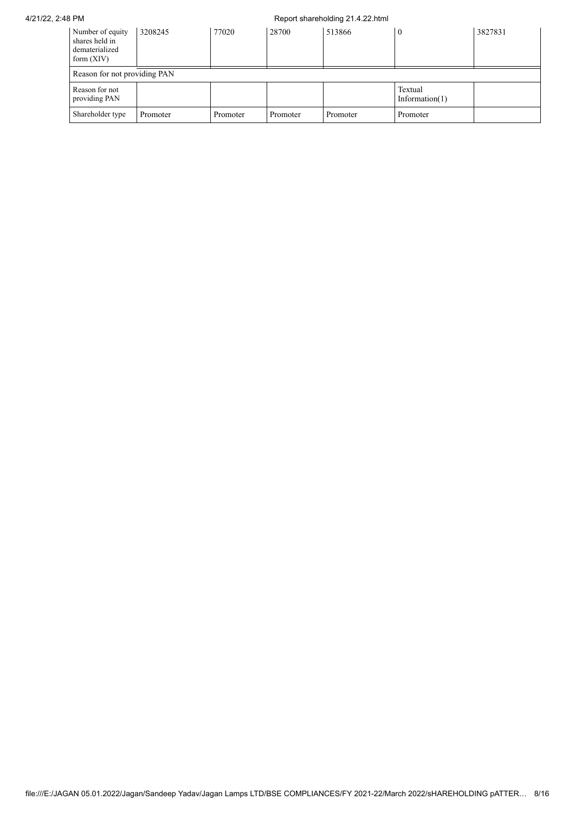## 4/21/22, 2:48 PM Report shareholding 21.4.22.html

| Number of equity<br>shares held in<br>dematerialized<br>form $(XIV)$ | 3208245                      | 77020    | 28700    | 513866   |                              | 3827831 |  |  |
|----------------------------------------------------------------------|------------------------------|----------|----------|----------|------------------------------|---------|--|--|
|                                                                      | Reason for not providing PAN |          |          |          |                              |         |  |  |
| Reason for not<br>providing PAN                                      |                              |          |          |          | Textual<br>Information $(1)$ |         |  |  |
| Shareholder type                                                     | Promoter                     | Promoter | Promoter | Promoter | Promoter                     |         |  |  |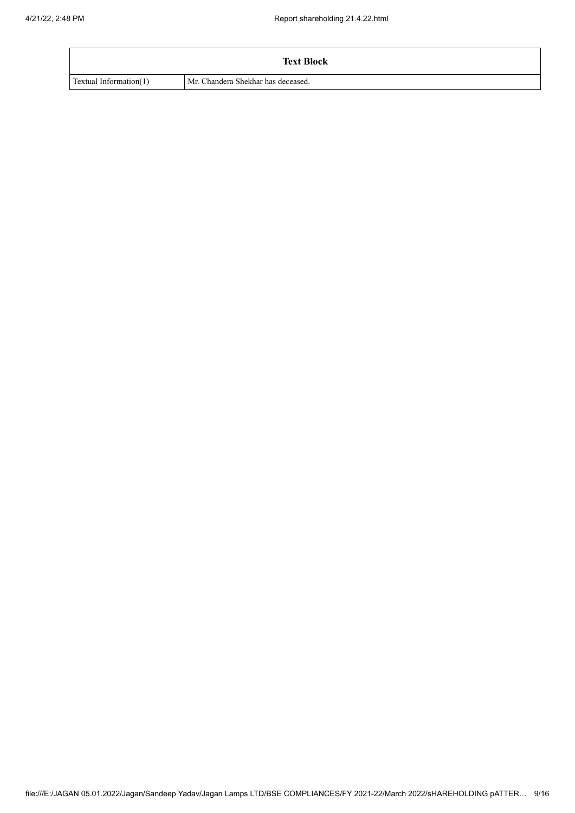|                               | <b>Text Block</b>                  |
|-------------------------------|------------------------------------|
| <b>Textual Information(1)</b> | Mr. Chandera Shekhar has deceased. |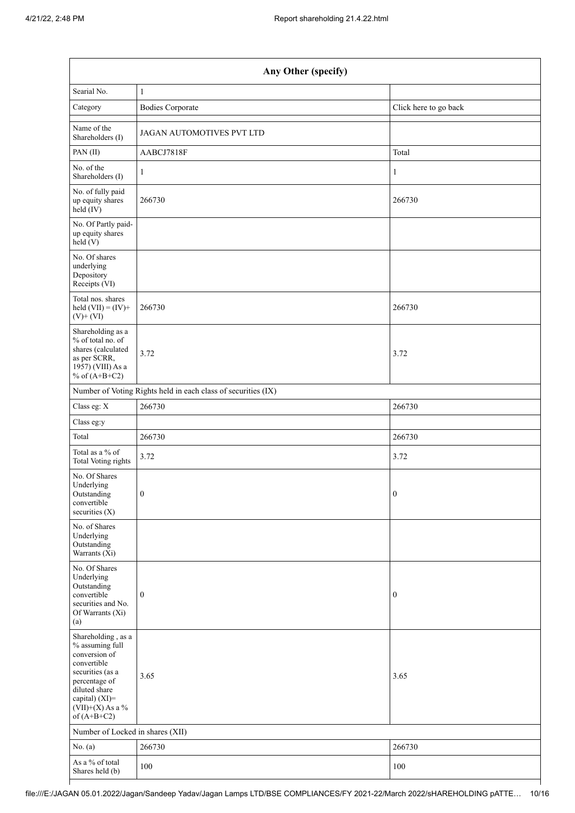| Any Other (specify)                                                                                                                                                                  |                                                               |                       |  |  |  |  |  |
|--------------------------------------------------------------------------------------------------------------------------------------------------------------------------------------|---------------------------------------------------------------|-----------------------|--|--|--|--|--|
| Searial No.                                                                                                                                                                          | $\mathbf{1}$                                                  |                       |  |  |  |  |  |
| Category                                                                                                                                                                             | <b>Bodies Corporate</b>                                       | Click here to go back |  |  |  |  |  |
| Name of the<br>Shareholders (I)                                                                                                                                                      | JAGAN AUTOMOTIVES PVT LTD                                     |                       |  |  |  |  |  |
| PAN(II)                                                                                                                                                                              | AABCJ7818F                                                    | Total                 |  |  |  |  |  |
| No. of the<br>Shareholders (I)                                                                                                                                                       | $\mathbf{1}$                                                  | 1                     |  |  |  |  |  |
| No. of fully paid<br>up equity shares<br>held (IV)                                                                                                                                   | 266730                                                        | 266730                |  |  |  |  |  |
| No. Of Partly paid-<br>up equity shares<br>held (V)                                                                                                                                  |                                                               |                       |  |  |  |  |  |
| No. Of shares<br>underlying<br>Depository<br>Receipts (VI)                                                                                                                           |                                                               |                       |  |  |  |  |  |
| Total nos. shares<br>held $(VII) = (IV) +$<br>$(V)$ + $(VI)$                                                                                                                         | 266730                                                        | 266730                |  |  |  |  |  |
| Shareholding as a<br>% of total no. of<br>shares (calculated<br>as per SCRR,<br>1957) (VIII) As a<br>% of $(A+B+C2)$                                                                 | 3.72                                                          | 3.72                  |  |  |  |  |  |
|                                                                                                                                                                                      | Number of Voting Rights held in each class of securities (IX) |                       |  |  |  |  |  |
| Class eg: X                                                                                                                                                                          | 266730                                                        | 266730                |  |  |  |  |  |
| Class eg:y                                                                                                                                                                           |                                                               |                       |  |  |  |  |  |
| Total                                                                                                                                                                                | 266730                                                        | 266730                |  |  |  |  |  |
| Total as a % of<br><b>Total Voting rights</b>                                                                                                                                        | 3.72                                                          | 3.72                  |  |  |  |  |  |
| No. Of Shares<br>Underlying<br>Outstanding<br>convertible<br>securities (X)                                                                                                          | $\boldsymbol{0}$                                              | $\boldsymbol{0}$      |  |  |  |  |  |
| No. of Shares<br>Underlying<br>Outstanding<br>Warrants $(X_i)$                                                                                                                       |                                                               |                       |  |  |  |  |  |
| No. Of Shares<br>Underlying<br>Outstanding<br>convertible<br>securities and No.<br>Of Warrants (Xi)<br>(a)                                                                           | $\boldsymbol{0}$                                              | $\boldsymbol{0}$      |  |  |  |  |  |
| Shareholding, as a<br>% assuming full<br>conversion of<br>convertible<br>securities (as a<br>percentage of<br>diluted share<br>capital) (XI)=<br>$(VII)+(X)$ As a %<br>of $(A+B+C2)$ | 3.65                                                          | 3.65                  |  |  |  |  |  |
| Number of Locked in shares (XII)                                                                                                                                                     |                                                               |                       |  |  |  |  |  |
| No. (a)                                                                                                                                                                              | 266730                                                        | 266730                |  |  |  |  |  |
| As a $\%$ of total<br>Shares held (b)                                                                                                                                                | 100                                                           | 100                   |  |  |  |  |  |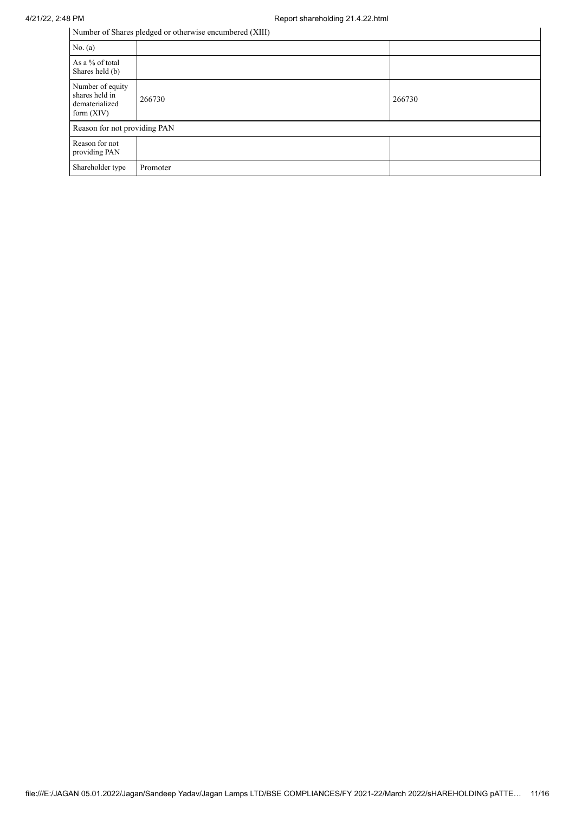| Number of Shares pledged or otherwise encumbered (XIII)              |          |        |  |  |  |  |
|----------------------------------------------------------------------|----------|--------|--|--|--|--|
| No. (a)                                                              |          |        |  |  |  |  |
| As a % of total<br>Shares held (b)                                   |          |        |  |  |  |  |
| Number of equity<br>shares held in<br>dematerialized<br>form $(XIV)$ | 266730   | 266730 |  |  |  |  |
| Reason for not providing PAN                                         |          |        |  |  |  |  |
| Reason for not<br>providing PAN                                      |          |        |  |  |  |  |
| Shareholder type                                                     | Promoter |        |  |  |  |  |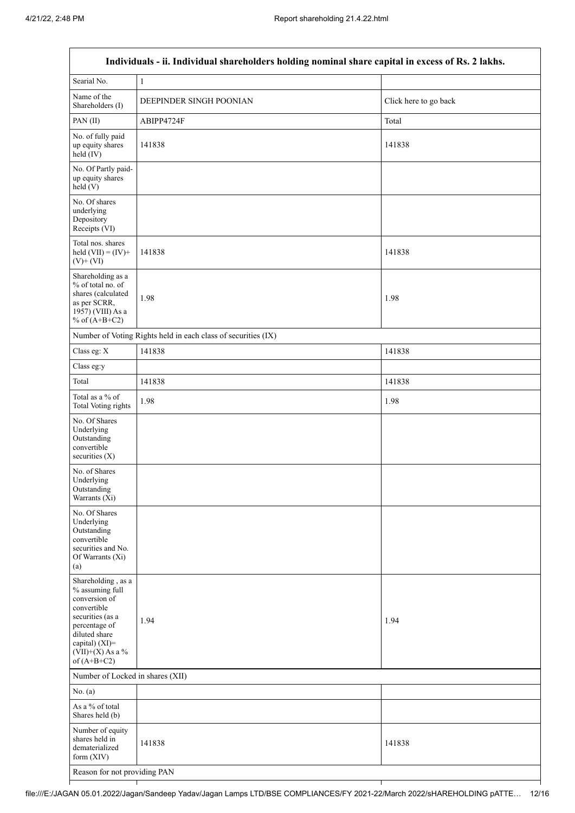$\overline{\Gamma}$ 

|                                                                                                                                                                                      | Individuals - ii. Individual shareholders holding nominal share capital in excess of Rs. 2 lakhs. |                       |  |  |  |  |
|--------------------------------------------------------------------------------------------------------------------------------------------------------------------------------------|---------------------------------------------------------------------------------------------------|-----------------------|--|--|--|--|
| Searial No.                                                                                                                                                                          | $\,1\,$                                                                                           |                       |  |  |  |  |
| Name of the<br>Shareholders (I)                                                                                                                                                      | DEEPINDER SINGH POONIAN                                                                           | Click here to go back |  |  |  |  |
| PAN(II)                                                                                                                                                                              | ABIPP4724F                                                                                        | Total                 |  |  |  |  |
| No. of fully paid<br>up equity shares<br>$held$ (IV)                                                                                                                                 | 141838                                                                                            | 141838                |  |  |  |  |
| No. Of Partly paid-<br>up equity shares<br>held (V)                                                                                                                                  |                                                                                                   |                       |  |  |  |  |
| No. Of shares<br>underlying<br>Depository<br>Receipts (VI)                                                                                                                           |                                                                                                   |                       |  |  |  |  |
| Total nos. shares<br>held $(VII) = (IV) +$<br>$(V)$ + $(VI)$                                                                                                                         | 141838                                                                                            | 141838                |  |  |  |  |
| Shareholding as a<br>% of total no. of<br>shares (calculated<br>as per SCRR,<br>1957) (VIII) As a<br>% of $(A+B+C2)$                                                                 | 1.98                                                                                              | 1.98                  |  |  |  |  |
|                                                                                                                                                                                      | Number of Voting Rights held in each class of securities (IX)                                     |                       |  |  |  |  |
| Class eg: X                                                                                                                                                                          | 141838                                                                                            | 141838                |  |  |  |  |
| Class eg:y                                                                                                                                                                           |                                                                                                   |                       |  |  |  |  |
| Total                                                                                                                                                                                | 141838                                                                                            | 141838                |  |  |  |  |
| Total as a % of<br>Total Voting rights                                                                                                                                               | 1.98                                                                                              | 1.98                  |  |  |  |  |
| No. Of Shares<br>Underlying<br>Outstanding<br>convertible<br>securities (X)                                                                                                          |                                                                                                   |                       |  |  |  |  |
| No. of Shares<br>Underlying<br>Outstanding<br>Warrants (Xi)                                                                                                                          |                                                                                                   |                       |  |  |  |  |
| No. Of Shares<br>Underlying<br>Outstanding<br>convertible<br>securities and No.<br>Of Warrants (Xi)<br>(a)                                                                           |                                                                                                   |                       |  |  |  |  |
| Shareholding, as a<br>% assuming full<br>conversion of<br>convertible<br>securities (as a<br>percentage of<br>diluted share<br>capital) (XI)=<br>$(VII)+(X)$ As a %<br>of $(A+B+C2)$ | 1.94                                                                                              | 1.94                  |  |  |  |  |
| Number of Locked in shares (XII)                                                                                                                                                     |                                                                                                   |                       |  |  |  |  |
| No. (a)                                                                                                                                                                              |                                                                                                   |                       |  |  |  |  |
| As a % of total<br>Shares held (b)                                                                                                                                                   |                                                                                                   |                       |  |  |  |  |
| Number of equity<br>shares held in<br>dematerialized<br>form (XIV)                                                                                                                   | 141838                                                                                            | 141838                |  |  |  |  |
| Reason for not providing PAN                                                                                                                                                         |                                                                                                   |                       |  |  |  |  |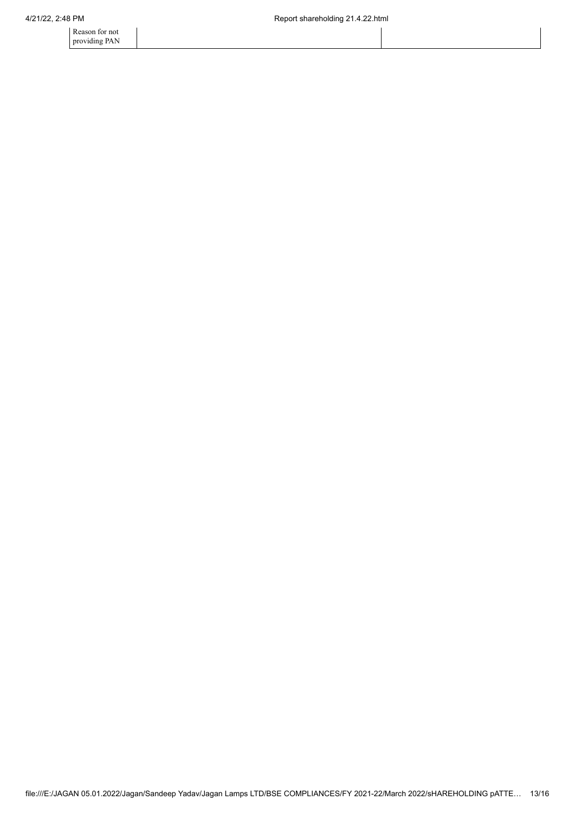Reason for not providing PAN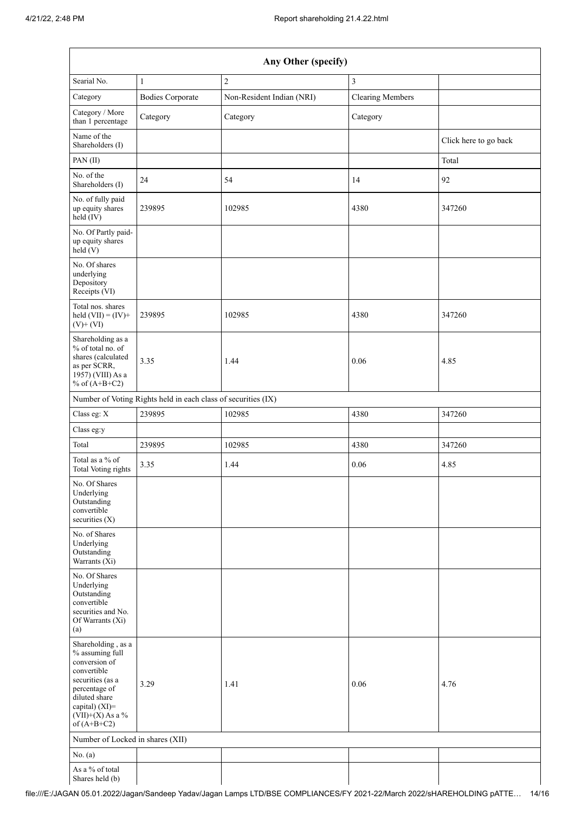| Any Other (specify)                                                                                                                                                                  |                         |                           |                         |                       |  |  |  |
|--------------------------------------------------------------------------------------------------------------------------------------------------------------------------------------|-------------------------|---------------------------|-------------------------|-----------------------|--|--|--|
| Searial No.                                                                                                                                                                          | $\mathbf{1}$            | $\overline{c}$            | $\overline{\mathbf{3}}$ |                       |  |  |  |
| Category                                                                                                                                                                             | <b>Bodies Corporate</b> | Non-Resident Indian (NRI) | <b>Clearing Members</b> |                       |  |  |  |
| Category / More<br>than 1 percentage                                                                                                                                                 | Category                | Category                  | Category                |                       |  |  |  |
| Name of the<br>Shareholders (I)                                                                                                                                                      |                         |                           |                         | Click here to go back |  |  |  |
| PAN(II)                                                                                                                                                                              |                         |                           |                         | Total                 |  |  |  |
| No. of the<br>Shareholders (I)                                                                                                                                                       | 24                      | 54                        | 14                      | 92                    |  |  |  |
| No. of fully paid<br>up equity shares<br>$held$ (IV)                                                                                                                                 | 239895                  | 102985                    | 4380                    | 347260                |  |  |  |
| No. Of Partly paid-<br>up equity shares<br>held(V)                                                                                                                                   |                         |                           |                         |                       |  |  |  |
| No. Of shares<br>underlying<br>Depository<br>Receipts (VI)                                                                                                                           |                         |                           |                         |                       |  |  |  |
| Total nos. shares<br>held $(VII) = (IV) +$<br>$(V)$ + $(VI)$                                                                                                                         | 239895                  | 102985                    | 4380                    | 347260                |  |  |  |
| Shareholding as a<br>% of total no. of<br>shares (calculated<br>as per SCRR,<br>1957) (VIII) As a<br>% of $(A+B+C2)$                                                                 | 3.35                    | 1.44                      | 0.06                    | 4.85                  |  |  |  |
| Number of Voting Rights held in each class of securities (IX)                                                                                                                        |                         |                           |                         |                       |  |  |  |
| Class eg: X                                                                                                                                                                          | 239895                  | 102985                    | 4380                    | 347260                |  |  |  |
| Class eg:y                                                                                                                                                                           |                         |                           |                         |                       |  |  |  |
| Total                                                                                                                                                                                | 239895                  | 102985                    | 4380                    | 347260                |  |  |  |
| Total as a $\%$ of<br>Total Voting rights                                                                                                                                            | 3.35                    | 1.44                      | 0.06                    | 4.85                  |  |  |  |
| No. Of Shares<br>Underlying<br>Outstanding<br>convertible<br>securities (X)                                                                                                          |                         |                           |                         |                       |  |  |  |
| No. of Shares<br>Underlying<br>Outstanding<br>Warrants (Xi)                                                                                                                          |                         |                           |                         |                       |  |  |  |
| No. Of Shares<br>Underlying<br>Outstanding<br>convertible<br>securities and No.<br>Of Warrants (Xi)<br>(a)                                                                           |                         |                           |                         |                       |  |  |  |
| Shareholding, as a<br>% assuming full<br>conversion of<br>convertible<br>securities (as a<br>percentage of<br>diluted share<br>capital) (XI)=<br>$(VII)+(X)$ As a %<br>of $(A+B+C2)$ | 3.29                    | 1.41                      | 0.06                    | 4.76                  |  |  |  |
| Number of Locked in shares (XII)                                                                                                                                                     |                         |                           |                         |                       |  |  |  |
| No. (a)                                                                                                                                                                              |                         |                           |                         |                       |  |  |  |
| As a % of total<br>Shares held (b)                                                                                                                                                   |                         |                           |                         |                       |  |  |  |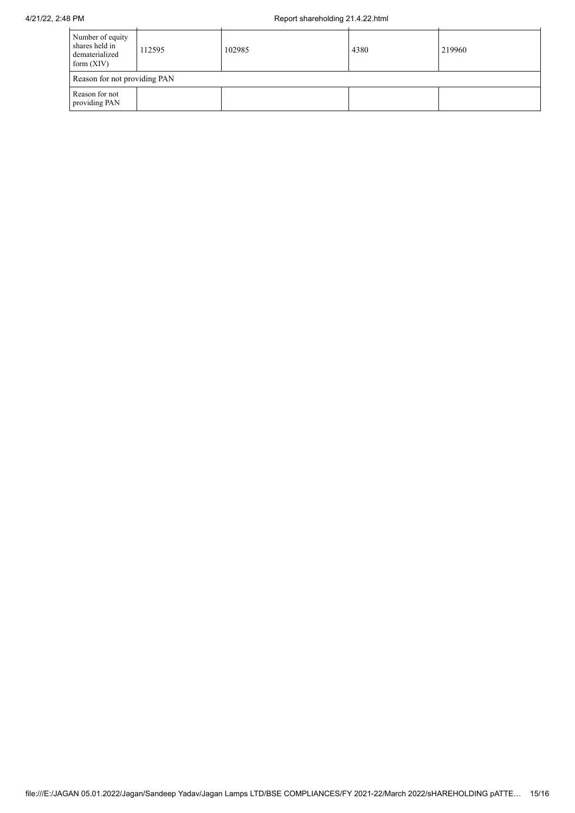| Number of equity<br>shares held in<br>dematerialized<br>form $(XIV)$ | 112595 | 102985 | 4380 | 219960 |  |  |  |
|----------------------------------------------------------------------|--------|--------|------|--------|--|--|--|
| Reason for not providing PAN                                         |        |        |      |        |  |  |  |
| Reason for not<br>providing PAN                                      |        |        |      |        |  |  |  |